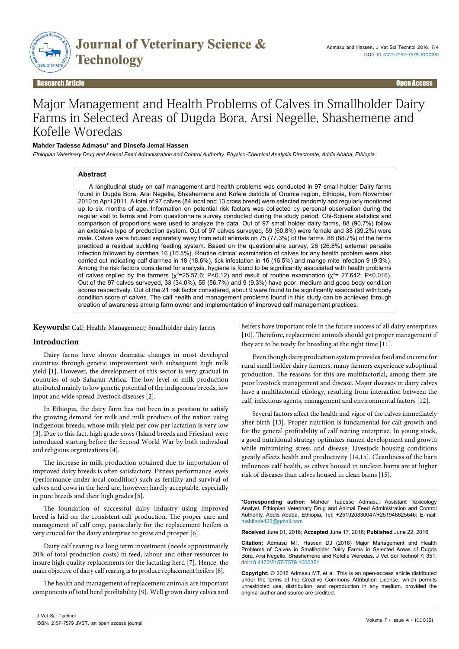

Research Article Open Access

# Major Management and Health Problems of Calves in Smallholder Dairy Farms in Selected Areas of Dugda Bora, Arsi Negelle, Shashemene and Kofelle Woredas

## **Mahder Tadesse Admasu\* and Dinsefa Jemal Hassen**

*Ethiopian Veterinary Drug and Animal Feed Administration and Control Authority, Physico-Chemical Analysis Directorate, Addis Ababa, Ethiopia*

#### **Abstract**

A longitudinal study on calf management and health problems was conducted in 97 small holder Dairy farms found in Dugda Bora, Arsi Negelle, Shashemene and Kofele districts of Oromia region, Ethiopia, from November 2010 to April 2011. A total of 97 calves (84 local and 13 cross breed) were selected randomly and regularly monitored up to six months of age. Information on potential risk factors was collected by personal observation during the regular visit to farms and from questionnaire survey conducted during the study period. Chi-Square statistics and comparison of proportions were used to analyze the data. Out of 97 small holder dairy farms, 88 (90.7%) follow an extensive type of production system. Out of 97 calves surveyed, 59 (60.8%) were female and 38 (39.2%) were male. Calves were housed separately away from adult animals on 75 (77.3%) of the farms. 86 (88.7%) of the farms practiced a residual suckling feeding system. Based on the questionnaire survey, 26 (26.8%) external parasite infection followed by diarrhea 16 (16.5%). Routine clinical examination of calves for any health problem were also carried out indicating calf diarrhea in 18 (18.6%), tick infestation in 16 (16.5%) and mange mite infection 9 (9.3%). Among the risk factors considered for analysis, hygiene is found to be significantly associated with health problems of calves replied by the farmers ( $\chi^2$ =25.57.6; P<0.12) and result of routine examination ( $\chi^2$ = 27.642; P<0.016). Out of the 97 calves surveyed, 33 (34.0%), 55 (56.7%) and 9 (9.3%) have poor, medium and good body condition scores respectively. Out of the 21 risk factor considered, about 9 were found to be significantly associated with body condition score of calves. The calf health and management problems found in this study can be achieved through creation of awareness among farm owner and implementation of improved calf management practices.

**Keywords:** Calf; Health; Management; Smallholder dairy farms

## **Introduction**

Dairy farms have shown dramatic changes in most developed countries through genetic improvement with subsequent high milk yield [1]. However, the development of this sector is very gradual in countries of sub Saharan Africa. The low level of milk production attributed mainly to low genetic potential of the indigenous breeds, low input and wide spread livestock diseases [2].

In Ethiopia, the dairy farm has not been in a position to satisfy the growing demand for milk and milk products of the nation using indigenous breeds, whose milk yield per cow per lactation is very low [3]. Due to this fact, high grade cows (Island breeds and Friesian) were introduced starting before the Second World War by both individual and religious organizations [4].

The increase in milk production obtained due to importation of improved dairy breeds is often satisfactory. Fitness performance levels (performance under local condition) such as fertility and survival of calves and cows in the herd are, however; hardly acceptable, especially in pure breeds and their high grades [5].

The foundation of successful dairy industry using improved breed is laid on the consistent calf production. The proper care and management of calf crop, particularly for the replacement heifers is very crucial for the dairy enterprise to grow and prosper [6].

Dairy calf rearing is a long term investment (needs approximately 20% of total production costs) in feed, labour and other resources to insure high quality replacements for the lactating herd [7]. Hence, the main objective of dairy calf rearing is to produce replacement heifers [8].

The health and management of replacement animals are important components of total herd profitability [9]. Well grown dairy calves and heifers have important role in the future success of all dairy enterprises [10]. Therefore, replacement animals should get proper management if they are to be ready for breeding at the right time [11].

Even though dairy production system provides food and income for rural small holder dairy farmers, many farmers experience suboptimal production. The reasons for this are multifactorial; among them are poor livestock management and disease. Major diseases in dairy calves have a multifactorial etiology, resulting from interaction between the calf, infectious agents, management and environmental factors [12].

Several factors affect the health and vigor of the calves immediately after birth [13]. Proper nutrition is fundamental for calf growth and for the general profitability of calf rearing enterprise. In young stock, a good nutritional strategy optimizes rumen development and growth while minimizing stress and disease. Livestock housing conditions greatly affects health and productivity [14,15]. Cleanliness of the barn influences calf health, as calves housed in unclean barns are at higher risk of diseases than calves housed in clean barns [15].

**\*Corresponding author:** Mahder Tadesse Admasu, Assistant Toxicology Analyst, Ethiopian Veterinary Drug and Animal Feed Administration and Control Authority, Addis Ababa, Ethiopia, Tel: +251920830047/+251946625646; E-mail: mahitade123@gmail.com

**Received** June 01, 2016; **Accepted** June 17, 2016; **Published** June 22, 2016

**Citation:** Admasu MT, Hassen DJ (2016) Major Management and Health Problems of Calves in Smallholder Dairy Farms in Selected Areas of Dugda Bora, Arsi Negelle, Shashemene and Kofelle Woredas. J Vet Sci Technol 7: 351. doi:10.4172/2157-7579.1000351

**Copyright:** © 2016 Admasu MT, et al. This is an open-access article distributed under the terms of the Creative Commons Attribution License, which permits unrestricted use, distribution, and reproduction in any medium, provided the original author and source are credited.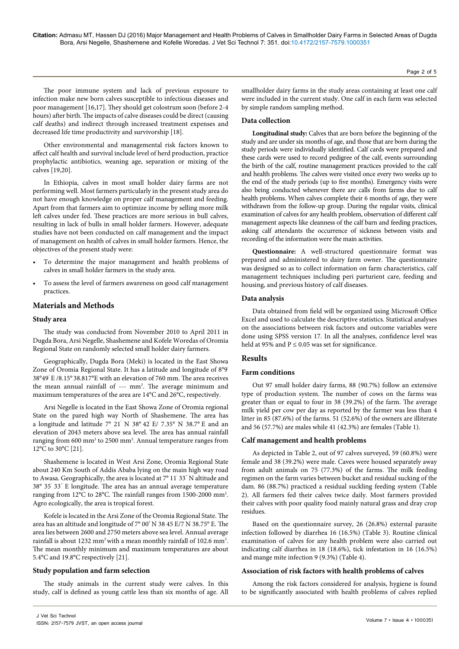The poor immune system and lack of previous exposure to infection make new born calves susceptible to infectious diseases and poor management [16,17]. They should get colostrum soon (before 2-4 hours) after birth. The impacts of calve diseases could be direct (causing calf deaths) and indirect through increased treatment expenses and decreased life time productivity and survivorship [18].

Other environmental and managemental risk factors known to affect calf health and survival include level of herd production, practice prophylactic antibiotics, weaning age, separation or mixing of the calves [19,20].

In Ethiopia, calves in most small holder dairy farms are not performing well. Most farmers particularly in the present study area do not have enough knowledge on proper calf management and feeding. Apart from that farmers aim to optimize income by selling more milk left calves under fed. These practices are more serious in bull calves, resulting in lack of bulls in small holder farmers. However, adequate studies have not been conducted on calf management and the impact of management on health of calves in small holder farmers. Hence, the objectives of the present study were:

- To determine the major management and health problems of calves in small holder farmers in the study area.
- To assess the level of farmers awareness on good calf management practices.

## **Materials and Methods**

#### **Study area**

The study was conducted from November 2010 to April 2011 in Dugda Bora, Arsi Negelle, Shashemene and Kofele Woredas of Oromia Regional State on randomly selected small holder dairy farmers.

Geographically, Dugda Bora (Meki) is located in the East Showa Zone of Oromia Regional State. It has a latitude and longitude of 8°9' 38°49' E /8.15° 38.817°E with an elevation of 760 mm. The area receives the mean annual rainfall of --- mm<sup>3</sup>. The average minimum and maximum temperatures of the area are 14°C and 26°C, respectively.

Arsi Negelle is located in the East Showa Zone of Oromia regional State on the pared high way North of Shashemene. The area has a longitude and latitude 7° 21' N 38° 42' E/ 7.35° N 38.7° E and an elevation of 2043 meters above sea level. The area has annual rainfall ranging from 600 mm<sup>3</sup> to 2500 mm<sup>3</sup>. Annual temperature ranges from 12°C to 30°C [21].

Shashemene is located in West Arsi Zone, Oromia Regional State about 240 Km South of Addis Ababa lying on the main high way road to Awasa. Geographically, the area is located at 7° 11' 33'' N altitude and 38° 35' 33'' E longitude. The area has an annual average temperature ranging from 12°C to 28°C. The rainfall ranges from 1500-2000 mm<sup>3</sup>. Agro ecologically, the area is tropical forest.

Kofele is located in the Arsi Zone of the Oromia Regional State. The area has an altitude and longitude of 7° 00' N 38 45 E/7 N 38.75° E. The area lies between 2600 and 2750 meters above sea level. Annual average rainfall is about 1232  $\text{mm}^3$  with a mean monthly rainfall of 102.6  $\text{mm}^3$ . The mean monthly minimum and maximum temperatures are about 5.4°C and 19.8°C respectively [21].

#### **Study population and farm selection**

The study animals in the current study were calves. In this study, calf is defined as young cattle less than six months of age. All

smallholder dairy farms in the study areas containing at least one calf were included in the current study. One calf in each farm was selected by simple random sampling method.

#### **Data collection**

**Longitudinal study:** Calves that are born before the beginning of the study and are under six months of age, and those that are born during the study periods were individually identified. Calf cards were prepared and these cards were used to record pedigree of the calf, events surrounding the birth of the calf, routine management practices provided to the calf and health problems. The calves were visited once every two weeks up to the end of the study periods (up to five months). Emergency visits were also being conducted whenever there are calls from farms due to calf health problems. When calves complete their 6 months of age, they were withdrawn from the follow-up group. During the regular visits, clinical examination of calves for any health problem, observation of different calf management aspects like cleanness of the calf barn and feeding practices, asking calf attendants the occurrence of sickness between visits and recording of the information were the main activities.

**Questionnaire:** A well-structured questionnaire format was prepared and administered to dairy farm owner. The questionnaire was designed so as to collect information on farm characteristics, calf management techniques including peri parturient care, feeding and housing, and previous history of calf diseases.

### **Data analysis**

Data obtained from field will be organized using Microsoft Office Excel and used to calculate the descriptive statistics. Statistical analyses on the associations between risk factors and outcome variables were done using SPSS version 17. In all the analyses, confidence level was held at 95% and P  $\leq$  0.05 was set for significance.

## **Results**

#### **Farm conditions**

Out 97 small holder dairy farms, 88 (90.7%) follow an extensive type of production system. The number of cows on the farms was greater than or equal to four in 38 (39.2%) of the farm. The average milk yield per cow per day as reported by the farmer was less than 4 litter in 85 (87.6%) of the farms. 51 (52.6%) of the owners are illiterate and 56 (57.7%) are males while 41 (42.3%) are females (Table 1).

#### **Calf management and health problems**

As depicted in Table 2, out of 97 calves surveyed, 59 (60.8%) were female and 38 (39.2%) were male. Caves were housed separately away from adult animals on 75 (77.3%) of the farms. The milk feeding regimen on the farm varies between bucket and residual sucking of the dam. 86 (88.7%) practiced a residual suckling feeding system (Table 2). All farmers fed their calves twice daily. Most farmers provided their calves with poor quality food mainly natural grass and dray crop residues.

Based on the questionnaire survey, 26 (26.8%) external parasite infection followed by diarrhea 16 (16.5%) (Table 3). Routine clinical examination of calves for any health problem were also carried out indicating calf diarrhea in 18 (18.6%), tick infestation in 16 (16.5%) and mange mite infection 9 (9.3%) (Table 4).

#### **Association of risk factors with health problems of calves**

Among the risk factors considered for analysis, hygiene is found to be significantly associated with health problems of calves replied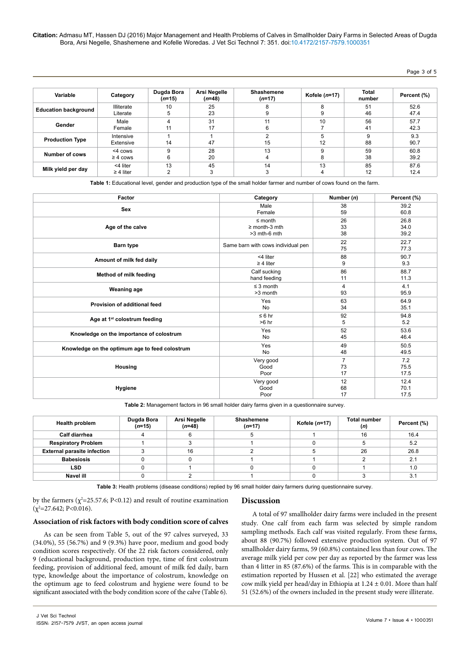## Page 3 of 5

| Variable                    | Category                   | Dugda Bora<br>$(n=15)$ | Arsi Negelle<br>$(n=48)$ | <b>Shashemene</b><br>$(n=17)$ | Kofele $(n=17)$ | <b>Total</b><br>number | Percent (%)  |
|-----------------------------|----------------------------|------------------------|--------------------------|-------------------------------|-----------------|------------------------|--------------|
| <b>Education background</b> | Illiterate<br>Literate     | 10                     | 25<br>23                 |                               | R               | 51<br>46               | 52.6<br>47.4 |
| Gender                      | Male<br>Female             | 11                     | 31<br>17                 | 11<br>6                       | 10              | 56<br>41               | 57.7<br>42.3 |
| <b>Production Type</b>      | Intensive<br>Extensive     | 14                     | 47                       | 15                            | 12              | 9<br>88                | 9.3<br>90.7  |
| Number of cows              | <4 cows<br>$\geq 4$ cows   | 9<br>6                 | 28<br>20                 | 13<br>4                       | q               | 59<br>38               | 60.8<br>39.2 |
| Milk yield per day          | <4 liter<br>$\geq$ 4 liter | 13                     | 45                       | 14                            | 13              | 85<br>12               | 87.6<br>12.4 |

**Table 1:** Educational level, gender and production type of the small holder farmer and number of cows found on the farm.

| Factor                                         | Category                           | Number (n)     | Percent (%)  |
|------------------------------------------------|------------------------------------|----------------|--------------|
| <b>Sex</b>                                     | Male                               | 38             | 39.2         |
|                                                | Female                             | 59             | 60.8         |
| Age of the calve                               | $\leq$ month                       | 26             | 26.8         |
|                                                | $\geq$ month-3 mth                 | 33             | 34.0         |
|                                                | $>3$ mth-6 mth                     | 38             | 39.2         |
| Barn type                                      | Same barn with cows individual pen | 22<br>75       | 22.7<br>77.3 |
| Amount of milk fed daily                       | <4 liter                           | 88             | 90.7         |
|                                                | $\geq$ 4 liter                     | 9              | 9.3          |
| Method of milk feeding                         | Calf sucking                       | 86             | 88.7         |
|                                                | hand feeding                       | 11             | 11.3         |
| <b>Weaning age</b>                             | $\leq$ 3 month                     | 4              | 4.1          |
|                                                | >3 month                           | 93             | 95.9         |
| Provision of additional feed                   | Yes                                | 63             | 64.9         |
|                                                | No                                 | 34             | 35.1         |
| Age at 1 <sup>st</sup> colostrum feeding       | $\leq 6$ hr                        | 92             | 94.8         |
|                                                | $>6$ hr                            | 5              | 5.2          |
| Knowledge on the importance of colostrum       | Yes                                | 52             | 53.6         |
|                                                | <b>No</b>                          | 45             | 46.4         |
| Knowledge on the optimum age to feed colostrum | Yes                                | 49             | 50.5         |
|                                                | <b>No</b>                          | 48             | 49.5         |
| Housing                                        | Very good                          | $\overline{7}$ | 7.2          |
|                                                | Good                               | 73             | 75.5         |
|                                                | Poor                               | 17             | 17.5         |
| Hygiene                                        | Very good                          | 12             | 12.4         |
|                                                | Good                               | 68             | 70.1         |
|                                                | Poor                               | 17             | 17.5         |

**Table 2:** Management factors in 96 small holder dairy farms given in a questionnaire survey.

| <b>Health problem</b>              | Dugda Bora<br>$(n=15)$ | Arsi Negelle<br>$(n=48)$ | Shashemene<br>$(n=17)$ | Kofele $(n=17)$ | <b>Total number</b><br>(n) | Percent (%) |
|------------------------------------|------------------------|--------------------------|------------------------|-----------------|----------------------------|-------------|
| <b>Calf diarrhea</b>               |                        |                          | υ                      |                 | 16                         | 16.4        |
| <b>Respiratory Problem</b>         |                        |                          |                        |                 |                            | 5.2         |
| <b>External parasite infection</b> |                        | 16                       |                        |                 | 26                         | 26.8        |
| <b>Babesiosis</b>                  |                        |                          |                        |                 |                            | 2.1         |
| <b>LSD</b>                         |                        |                          |                        |                 |                            | 1.0         |
| Navel ill                          |                        |                          |                        |                 |                            | 3.1         |

**Table 3:** Health problems (disease conditions) replied by 96 small holder dairy farmers during questionnaire survey.

by the farmers ( $\chi^2$ =25.57.6; P<0.12) and result of routine examination  $(\chi^2 = 27.642; P < 0.016).$ 

# **Discussion**

## **Association of risk factors with body condition score of calves**

As can be seen from Table 5, out of the 97 calves surveyed, 33 (34.0%), 55 (56.7%) and 9 (9.3%) have poor, medium and good body condition scores respectively. Of the 22 risk factors considered, only 9 (educational background, production type, time of first colostrum feeding, provision of additional feed, amount of milk fed daily, barn type, knowledge about the importance of colostrum, knowledge on the optimum age to feed colostrum and hygiene were found to be significant associated with the body condition score of the calve (Table 6).

A total of 97 smallholder dairy farms were included in the present study. One calf from each farm was selected by simple random sampling methods. Each calf was visited regularly. From these farms, about 88 (90.7%) followed extensive production system. Out of 97 smallholder dairy farms, 59 (60.8%) contained less than four cows. The average milk yield per cow per day as reported by the farmer was less than 4 litter in 85 (87.6%) of the farms. This is in comparable with the estimation reported by Hussen et al. [22] who estimated the average cow milk yield per head/day in Ethiopia at  $1.24 \pm 0.01$ . More than half 51 (52.6%) of the owners included in the present study were illiterate.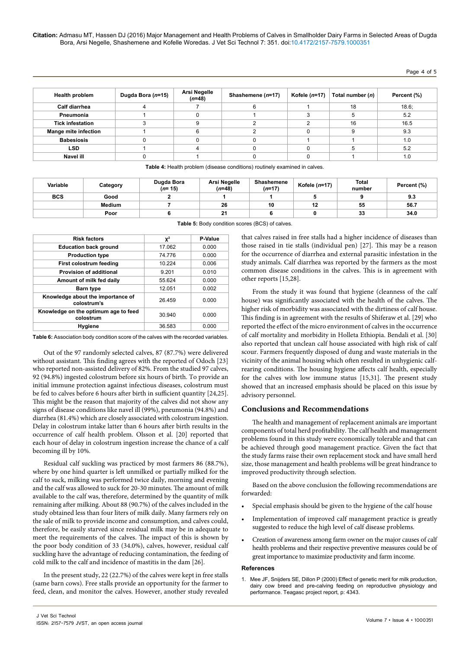## Page 4 of 5

| <b>Health problem</b>       | Dugda Bora (n=15) | Arsi Negelle<br>$(n=48)$ | Shashemene (n=17) | Kofele $(n=17)$ | Total number (n) | Percent (%) |
|-----------------------------|-------------------|--------------------------|-------------------|-----------------|------------------|-------------|
| <b>Calf diarrhea</b>        |                   |                          |                   |                 | 18               | 18.6;       |
| Pneumonia                   |                   |                          |                   |                 |                  | 5.2         |
| <b>Tick infestation</b>     |                   |                          |                   |                 | 16               | 16.5        |
| <b>Mange mite infection</b> |                   |                          |                   |                 |                  | 9.3         |
| <b>Babesiosis</b>           |                   |                          |                   |                 |                  | 1.0         |
| <b>LSD</b>                  |                   |                          |                   |                 |                  | 5.2         |
| Navel ill                   |                   |                          |                   |                 |                  | 1.0         |

**Table 4:** Health problem (disease conditions) routinely examined in calves.

| Variable   | Category | Dugda Bora<br>$(n=15)$ | Arsi Negelle<br>(n=48) | Shashemene<br>(n=17) | Kofele $(n=17)$ | Total<br>number | Percent (%) |
|------------|----------|------------------------|------------------------|----------------------|-----------------|-----------------|-------------|
| <b>BCS</b> | Good     |                        |                        |                      |                 |                 | 9.3         |
|            | Medium   |                        | 26                     | 10                   | 12              | 55              | 56.7        |
|            | Poor     |                        | 21                     |                      |                 | 33              | 34.0        |

| <b>Risk factors</b>                               | $\mathbf{X}^2$ | P-Value |
|---------------------------------------------------|----------------|---------|
| <b>Education back ground</b>                      | 17.062         | 0.000   |
| <b>Production type</b>                            | 74 776         | 0.000   |
| First colostrum feeding                           | 10 224         | 0.006   |
| <b>Provision of additional</b>                    | 9201           | 0.010   |
| Amount of milk fed daily                          | 55.624         | 0.000   |
| <b>Barn type</b>                                  | 12.051         | 0.002   |
| Knowledge about the importance of<br>colostrum's  | 26.459         | 0.000   |
| Knowledge on the optimum age to feed<br>colostrum | 30.940         | 0.000   |
| Hygiene                                           | 36.583         | 0.000   |

**Table 5:** Body condition scores (BCS) of calves.

for the occurrence of diarrhea and external parasitic infestation in the study animals. Calf diarrhea was reported by the farmers as the most common disease conditions in the calves. This is in agreement with other reports [15,28]. From the study it was found that hygiene (cleanness of the calf

that calves raised in free stalls had a higher incidence of diseases than those raised in tie stalls (individual pen) [27]. This may be a reason

house) was significantly associated with the health of the calves. The higher risk of morbidity was associated with the dirtiness of calf house. This finding is in agreement with the results of Shiferaw et al. [29] who reported the effect of the micro environment of calves in the occurrence of calf mortality and morbidity in Holleta Ethiopia. Bendali et al. [30] also reported that unclean calf house associated with high risk of calf scour. Farmers frequently disposed of dung and waste materials in the vicinity of the animal housing which often resulted in unhygienic calfrearing conditions. The housing hygiene affects calf health, especially for the calves with low immune status [15,31]. The present study showed that an increased emphasis should be placed on this issue by advisory personnel.

## **Conclusions and Recommendations**

The health and management of replacement animals are important components of total herd profitability. The calf health and management problems found in this study were economically tolerable and that can be achieved through good management practice. Given the fact that the study farms raise their own replacement stock and have small herd size, those management and health problems will be great hindrance to improved productivity through selection.

Based on the above conclusion the following recommendations are forwarded:

- Special emphasis should be given to the hygiene of the calf house
- Implementation of improved calf management practice is greatly suggested to reduce the high level of calf disease problems.
- Creation of awareness among farm owner on the major causes of calf health problems and their respective preventive measures could be of great importance to maximize productivity and farm income.

#### **References**

1. [Mee JF, Snijders SE, Dillon P \(2000\) Effect of genetic merit for milk production,](https://www.amazon.co.uk/production-pre-calving-reproductive-physiology-performance/dp/B0000CP02O)  [dairy cow breed and pre-calving feeding on reproductive physiology and](https://www.amazon.co.uk/production-pre-calving-reproductive-physiology-performance/dp/B0000CP02O)  [performance. Teagasc project report, p: 4343.](https://www.amazon.co.uk/production-pre-calving-reproductive-physiology-performance/dp/B0000CP02O)

**Table 6:** Association body condition score of the calves with the recorded variables.

Out of the 97 randomly selected calves, 87 (87.7%) were delivered without assistant. This finding agrees with the reported of Odoch [23] who reported non-assisted delivery of 82%. From the studied 97 calves, 92 (94.8%) ingested colostrum before six hours of birth. To provide an initial immune protection against infectious diseases, colostrum must be fed to calves before 6 hours after birth in sufficient quantity [24,25]. This might be the reason that majority of the calves did not show any signs of disease conditions like navel ill (99%), pneumonia (94.8%) and diarrhea (81.4%) which are closely associated with colostrum ingestion. Delay in colostrum intake latter than 6 hours after birth results in the occurrence of calf health problem. Olsson et al. [20] reported that each hour of delay in colostrum ingestion increase the chance of a calf becoming ill by 10%.

Residual calf suckling was practiced by most farmers 86 (88.7%), where by one hind quarter is left unmilked or partially milked for the calf to suck, milking was performed twice daily, morning and evening and the calf was allowed to suck for 20-30 minutes. The amount of milk available to the calf was, therefore, determined by the quantity of milk remaining after milking. About 88 (90.7%) of the calves included in the study obtained less than four liters of milk daily. Many farmers rely on the sale of milk to provide income and consumption, and calves could, therefore, be easily starved since residual milk may be in adequate to meet the requirements of the calves. The impact of this is shown by the poor body condition of 33 (34.0%), calves, however, residual calf suckling have the advantage of reducing contamination, the feeding of cold milk to the calf and incidence of mastitis in the dam [26].

In the present study, 22 (22.7%) of the calves were kept in free stalls (same barn cows). Free stalls provide an opportunity for the farmer to feed, clean, and monitor the calves. However, another study revealed